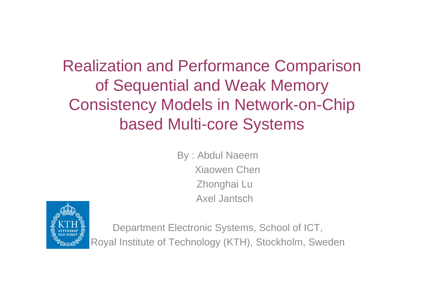Realization and Performance Comparison of Sequential and Weak Memory Consistency Models in Network-on-Chip based Multi-core Systems

> By : Abdul Naeem Xiaowen ChenZhonghai Lu Axel Jantsch



Department Electronic Systems, School of ICT, Royal Institute of Technology (KTH), Stockholm, Sweden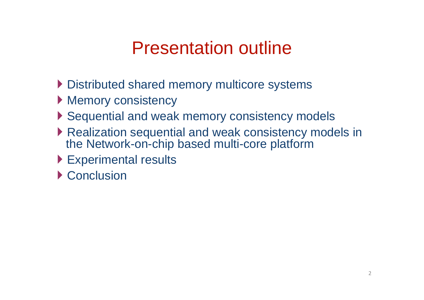### Presentation outline

- ▶ Distributed shared memory multicore systems
- **Memory consistency**
- ▶ Sequential and weak memory consistency models
- ▶ Realization sequential and weak consistency models in the Network-on-chip based multi-core platform
- Experimental results
- ▶ Conclusion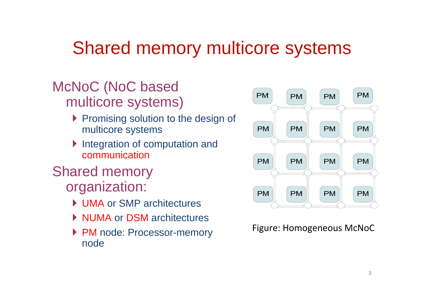### Shared memory multicore systems

#### McNoC (NoC based multicore systems)

- Promising solution to the design of multicore systems
- Integration of computation and communication

#### Shared memory organization:

- ▶ UMA or SMP architectures
- ▶ NUMA or DSM architectures
- ▶ PM node: Processor-memory node



#### Figure: Homogeneous McNoC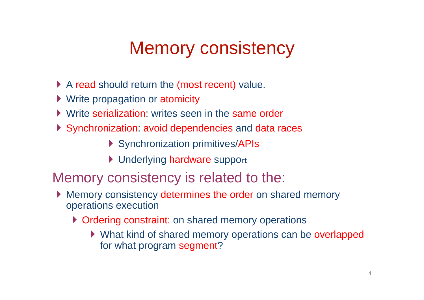# Memory consistency

- A read should return the (most recent) value.
- ▶ Write propagation or atomicity
- Write serialization: writes seen in the same order
- Synchronization: avoid dependencies and data races
	- ▶ Synchronization primitives/APIs
	- ▶ Underlying hardware support

#### Memory consistency is related to the:

- Memory consistency determines the order on shared memory operations execution
	- ▶ Ordering constraint: on shared memory operations
		- ▶ What kind of shared memory operations can be overlapped for what program segment?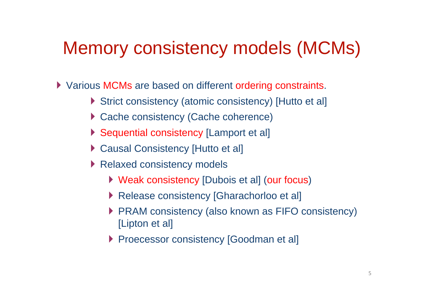### Memory consistency models (MCMs)

**Xarious MCMs are based on different ordering constraints.** 

- Strict consistency (atomic consistency) [Hutto et al]
- ▶ Cache consistency (Cache coherence)
- ▶ Sequential consistency [Lamport et al]
- ▶ Causal Consistency [Hutto et al]
- ▶ Relaxed consistency models
	- ▶ Weak consistency [Dubois et al] (our focus)
	- ▶ Release consistency [Gharachorloo et al]
	- PRAM consistency (also known as FIFO consistency) [Lipton et al]
	- **Proecessor consistency [Goodman et al]**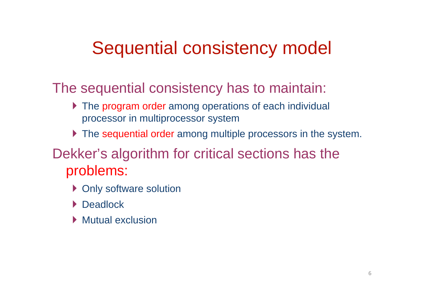# Sequential consistency model

The sequential consistency has to maintain:

- ▶ The program order among operations of each individual processor in multiprocessor system
- ▶ The sequential order among multiple processors in the system.

#### Dekker's algorithm for critical sections has the problems:

- ▶ Only software solution
- ▶ Deadlock
- **Mutual exclusion**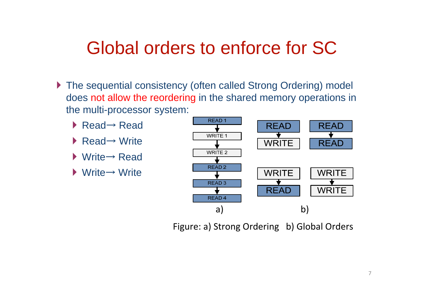### Global orders to enforce for SC

- ▶ The sequential consistency (often called Strong Ordering) model does not allow the reordering in the shared memory operations in the multi-processor system:
	- ▶ Read→ Read
	- ▶ Read→ Write
	- ▶ Write→ Read
	- ▶ Write→ Write



Figure: a) Strong Ordering b) Global Orders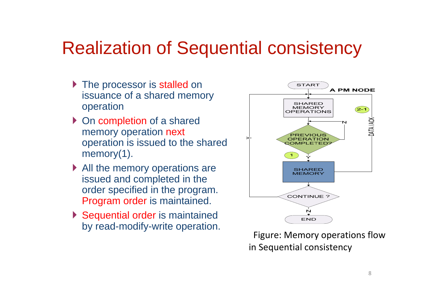### Realization of Sequential consistency

- ▶ The processor is stalled on issuance of a shared memory operation
- ▶ On completion of a shared memory operation next operation is issued to the shared memory(1).
- ▶ All the memory operations are issued and completed in the order specified in the program. Program order is maintained.
- ▶ Sequential order is maintained by read-modify-write operation.



Figure: Memory operations flow in Sequential consistency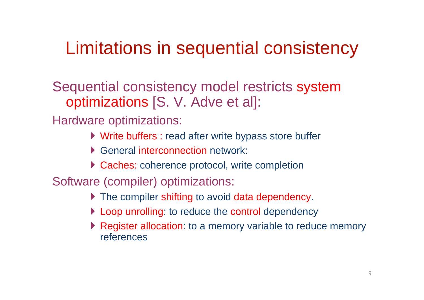### Limitations in sequential consistency

Sequential consistency model restricts system optimizations [S. V. Adve et al]:

Hardware optimizations:

- Write buffers : read after write bypass store buffer
- **General interconnection network:**
- ▶ Caches: coherence protocol, write completion

Software (compiler) optimizations:

- ▶ The compiler shifting to avoid data dependency.
- **Loop unrolling: to reduce the control dependency**
- ▶ Register allocation: to a memory variable to reduce memory references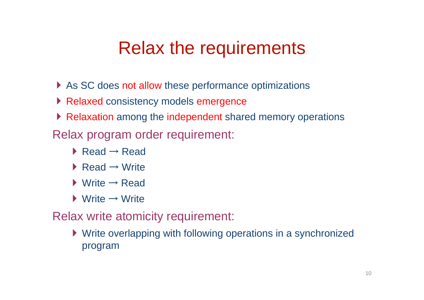### Relax the requirements

- As SC does not allow these performance optimizations
- Relaxed consistency models emergence
- Relaxation among the independent shared memory operations
- Relax program order requirement:
	- $\blacktriangleright$  Read  $\rightarrow$  Read
	- $\blacktriangleright$  Read  $\rightarrow$  Write
	- $\blacktriangleright$  Write  $\rightarrow$  Read
	- $\blacktriangleright$  Write  $\rightarrow$  Write

Relax write atomicity requirement:

Write overlapping with following operations in a synchronized program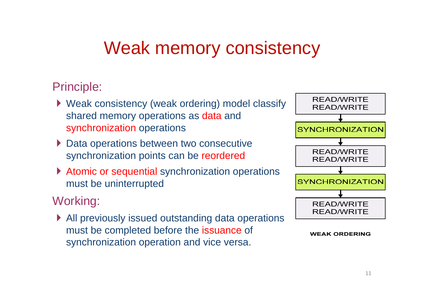# Weak memory consistency

#### Principle:

- Weak consistency (weak ordering) model classify shared memory operations as data and synchronization operations
- ▶ Data operations between two consecutive synchronization points can be reordered
- ▶ Atomic or sequential synchronization operations must be uninterrupted

#### Working:

▶ All previously issued outstanding data operations must be completed before the issuance of synchronization operation and vice versa.



#### **WEAK ORDERING**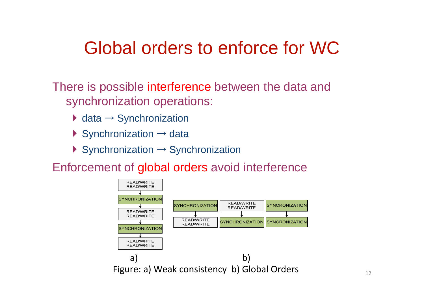### Global orders to enforce for WC

There is possible interference between the data and synchronization operations:

- $\blacktriangleright$  data  $\rightarrow$  Synchronization
- Synchronization  $\rightarrow$  data
- $\blacktriangleright$  Synchronization  $\rightarrow$  Synchronization

Enforcement of global orders avoid interference

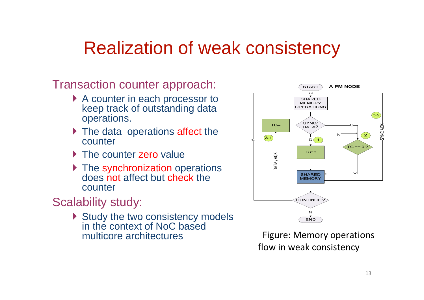### Realization of weak consistency

Transaction counter approach:

- ▶ A counter in each processor to keep track of outstanding data operations.
- In The data operations affect the counter
- The counter zero value
- ▶ The synchronization operations does not affect but check the counter

#### Scalability study:

Study the two consistency models in the context of NoC based multicore architectures



Figure: Memory operations flow in weak consistency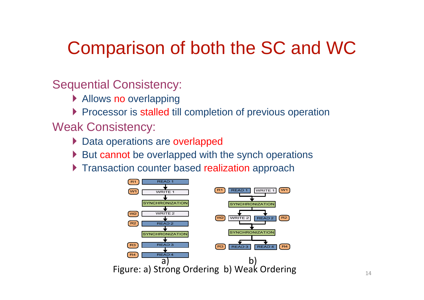# Comparison of both the SC and WC

#### Sequential Consistency:

- Allows no overlapping
- **Processor is stalled till completion of previous operation**

#### Weak Consistency:

- ▶ Data operations are overlapped
- $\triangleright$  But cannot be overlapped with the synch operations
- **Transaction counter based realization approach**

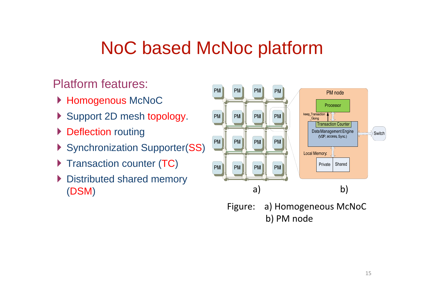# NoC based McNoc platform

#### Platform features:

- ▶ Homogenous McNoC
- Support 2D mesh topology.
- Deflection routing
- Synchronization Supporter(SS)
- $\blacktriangleright$  Transaction counter (TC)
- ▶ Distributed shared memory (DSM )



Figure: a) Homogeneous McNoC b) PM node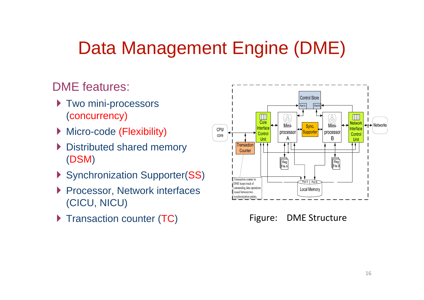# Data Management Engine (DME)

#### DME features:

- ▶ Two mini-processors (concurrency)
- ▶ Micro-code (Flexibility)
- ▶ Distributed shared memory (DSM )
- Synchronization Supporter(SS)
- ▶ Processor, Network interfaces (CICU, NICU)
- Transaction counter (TC)



Figure: DME Structure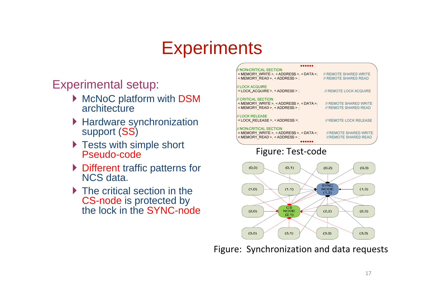# **Experiments**

#### Experimental setup:

- McNoC platform with DSM architecture
- ▶ Hardware synchronization support (SS)
- ▶ Tests with simple short Pseudo-code
- ▶ Different traffic patterns for NCS data.
- ▶ The critical section in the CS-node is protected by the lock in the SYNC-node

| /// NON-CRITICAL SECTION<br>< MEMORY WRITE > < ADDRESS > < DATA >:<br>< MEMORY READ >, < ADDRESS > ;    | <b>II REMOTE SHARED WRITE</b><br>// REMOTE SHARED READ        |
|---------------------------------------------------------------------------------------------------------|---------------------------------------------------------------|
| <i>III</i> LOCK ACQUIRE<br><lock acquire=""> <address> :</address></lock>                               | // REMOTE LOCK ACQUIRE                                        |
| <i>III</i> CRITICAL SECTION<br>< MEMORY WRITE > < ADDRESS > < DATA >:<br>< MEMORY READ >, < ADDRESS > ; | <b>II REMOTE SHARED WRITE</b><br><i>II</i> REMOTE SHARED READ |
| <i>III</i> LOCK RELEASE<br><lock release=""> &lt; ADDRESS &gt;:</lock>                                  | <b>II REMOTE LOCK RELEASE</b>                                 |
| I// NON-CRITICAL SECTION<br>< MEMORY WRITE > < ADDRESS > < DATA >:<br>< MEMORY READ > < ADDRESS > :     | <b>II REMOTE SHARED WRITE</b><br><b>II REMOTE SHARED READ</b> |

#### Figure: Test‐code



Figure: Synchronization and data requests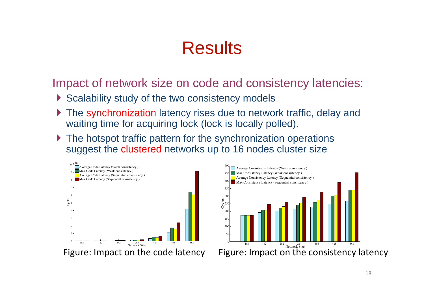### **Results**

Impact of network size on code and consistency latencies:

- Scalability study of the two consistency models
- ▶ The synchronization latency rises due to network traffic, delay and waiting time for acquiring lock (lock is locally polled).
- ▶ The hotspot traffic pattern for the synchronization operations suggest the clustered networks up to 16 nodes cluster size



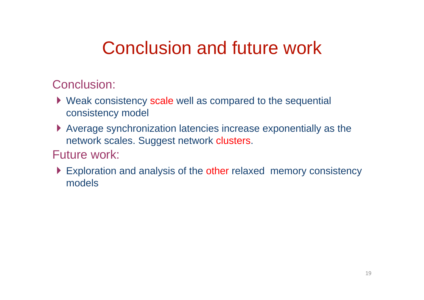# Conclusion and future work

#### Conclusion:

- Weak consistency scale well as compared to the sequential consistency model
- Average synchronization latencies increase exponentially as the network scales. Suggest network clusters.
- Future work:
- Exploration and analysis of the other relaxed memory consistency models